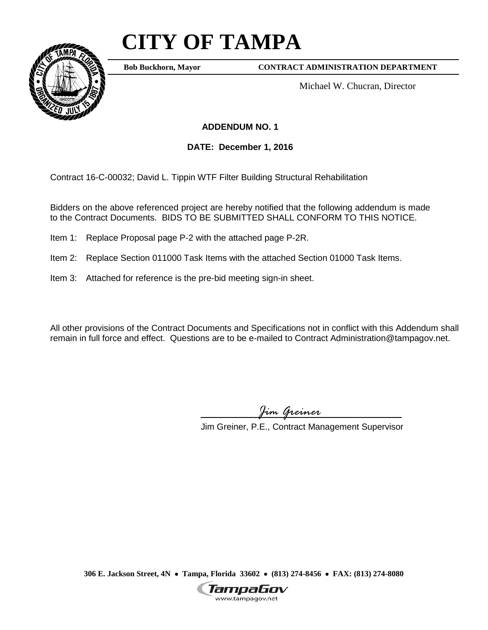## **CITY OF TAMPA**



**Bob Buckhorn, Mayor**

**CONTRACT ADMINISTRATION DEPARTMENT**

Michael W. Chucran, Director

### **ADDENDUM NO. 1**

**DATE: December 1, 2016**

Contract 16-C-00032; David L. Tippin WTF Filter Building Structural Rehabilitation

Bidders on the above referenced project are hereby notified that the following addendum is made to the Contract Documents. BIDS TO BE SUBMITTED SHALL CONFORM TO THIS NOTICE.

- Item 1: Replace Proposal page P-2 with the attached page P-2R.
- Item 2: Replace Section 011000 Task Items with the attached Section 01000 Task Items.
- Item 3: Attached for reference is the pre-bid meeting sign-in sheet.

All other provisions of the Contract Documents and Specifications not in conflict with this Addendum shall remain in full force and effect. Questions are to be e-mailed to Contract Administration@tampagov.net.

*Jim Greiner*

Jim Greiner, P.E., Contract Management Supervisor

**306 E. Jackson Street, 4N** • **Tampa, Florida 33602** • **(813) 274-8456** • **FAX: (813) 274-8080**

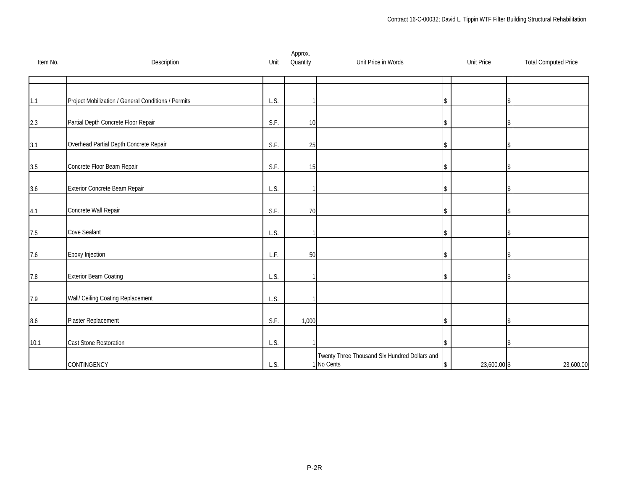| Item No. | Description                                         | Unit | Approx.<br>Quantity | Unit Price in Words                                         | <b>Unit Price</b>  | <b>Total Computed Price</b> |
|----------|-----------------------------------------------------|------|---------------------|-------------------------------------------------------------|--------------------|-----------------------------|
|          |                                                     |      |                     |                                                             |                    |                             |
| 1.1      | Project Mobilization / General Conditions / Permits | L.S. |                     |                                                             |                    |                             |
| 2.3      | Partial Depth Concrete Floor Repair                 | S.F. | 10                  |                                                             |                    |                             |
| 3.1      | Overhead Partial Depth Concrete Repair              | S.F. | 25                  |                                                             |                    |                             |
| 3.5      | Concrete Floor Beam Repair                          | S.F. | 15                  |                                                             |                    |                             |
| 3.6      | Exterior Concrete Beam Repair                       | L.S. |                     |                                                             |                    |                             |
| 4.1      | Concrete Wall Repair                                | S.F. | 70                  |                                                             |                    |                             |
| 7.5      | Cove Sealant                                        | L.S. |                     |                                                             |                    |                             |
| 7.6      | Epoxy Injection                                     | L.F. | 50                  |                                                             |                    |                             |
| $7.8\,$  | <b>Exterior Beam Coating</b>                        | L.S. |                     |                                                             |                    |                             |
| 7.9      | Wall/ Ceiling Coating Replacement                   | L.S. |                     |                                                             |                    |                             |
| 8.6      | Plaster Replacement                                 | S.F. | 1,000               |                                                             |                    |                             |
| 10.1     | Cast Stone Restoration                              | L.S. |                     |                                                             |                    |                             |
|          | <b>CONTINGENCY</b>                                  | L.S. |                     | Twenty Three Thousand Six Hundred Dollars and<br>1 No Cents | \$<br>23,600.00 \$ | 23,600.00                   |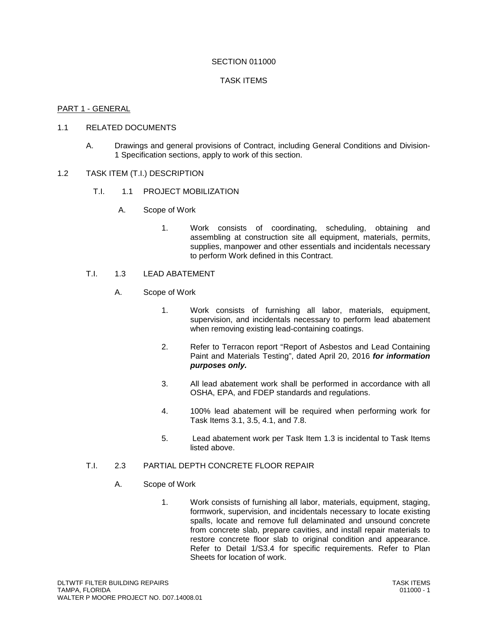#### SECTION 011000

#### TASK ITEMS

#### PART 1 - GENERAL

#### 1.1 RELATED DOCUMENTS

A. Drawings and general provisions of Contract, including General Conditions and Division-1 Specification sections, apply to work of this section.

#### 1.2 TASK ITEM (T.I.) DESCRIPTION

- T.I. 1.1 PROJECT MOBILIZATION
	- A. Scope of Work
		- 1. Work consists of coordinating, scheduling, obtaining and assembling at construction site all equipment, materials, permits, supplies, manpower and other essentials and incidentals necessary to perform Work defined in this Contract.

#### T.I. 1.3 LEAD ABATEMENT

- A. Scope of Work
	- 1. Work consists of furnishing all labor, materials, equipment, supervision, and incidentals necessary to perform lead abatement when removing existing lead-containing coatings.
	- 2. Refer to Terracon report "Report of Asbestos and Lead Containing Paint and Materials Testing", dated April 20, 2016 *for information purposes only.*
	- 3. All lead abatement work shall be performed in accordance with all OSHA, EPA, and FDEP standards and regulations.
	- 4. 100% lead abatement will be required when performing work for Task Items 3.1, 3.5, 4.1, and 7.8.
	- 5. Lead abatement work per Task Item 1.3 is incidental to Task Items listed above.

#### T.I. 2.3 PARTIAL DEPTH CONCRETE FLOOR REPAIR

- A. Scope of Work
	- 1. Work consists of furnishing all labor, materials, equipment, staging, formwork, supervision, and incidentals necessary to locate existing spalls, locate and remove full delaminated and unsound concrete from concrete slab, prepare cavities, and install repair materials to restore concrete floor slab to original condition and appearance. Refer to Detail 1/S3.4 for specific requirements. Refer to Plan Sheets for location of work.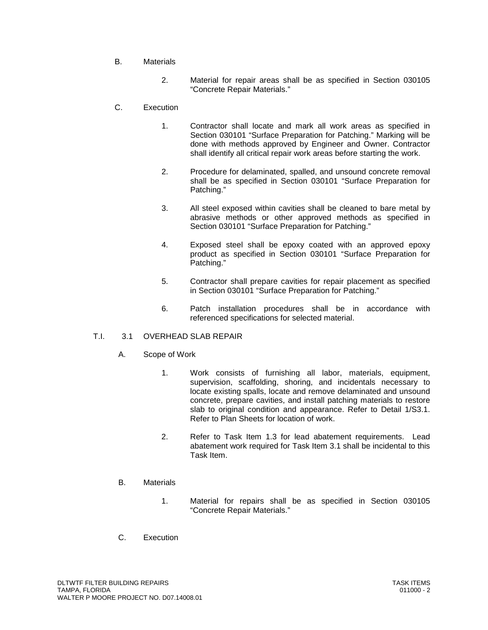- B. Materials
	- 2. Material for repair areas shall be as specified in Section 030105 "Concrete Repair Materials."

#### C. Execution

- 1. Contractor shall locate and mark all work areas as specified in Section 030101 "Surface Preparation for Patching." Marking will be done with methods approved by Engineer and Owner. Contractor shall identify all critical repair work areas before starting the work.
- 2. Procedure for delaminated, spalled, and unsound concrete removal shall be as specified in Section 030101 "Surface Preparation for Patching."
- 3. All steel exposed within cavities shall be cleaned to bare metal by abrasive methods or other approved methods as specified in Section 030101 "Surface Preparation for Patching."
- 4. Exposed steel shall be epoxy coated with an approved epoxy product as specified in Section 030101 "Surface Preparation for Patching."
- 5. Contractor shall prepare cavities for repair placement as specified in Section 030101 "Surface Preparation for Patching."
- 6. Patch installation procedures shall be in accordance with referenced specifications for selected material.

#### T.I. 3.1 OVERHEAD SLAB REPAIR

- A. Scope of Work
	- 1. Work consists of furnishing all labor, materials, equipment, supervision, scaffolding, shoring, and incidentals necessary to locate existing spalls, locate and remove delaminated and unsound concrete, prepare cavities, and install patching materials to restore slab to original condition and appearance. Refer to Detail 1/S3.1. Refer to Plan Sheets for location of work.
	- 2. Refer to Task Item 1.3 for lead abatement requirements. Lead abatement work required for Task Item 3.1 shall be incidental to this Task Item.

#### B. Materials

- 1. Material for repairs shall be as specified in Section 030105 "Concrete Repair Materials."
- C. Execution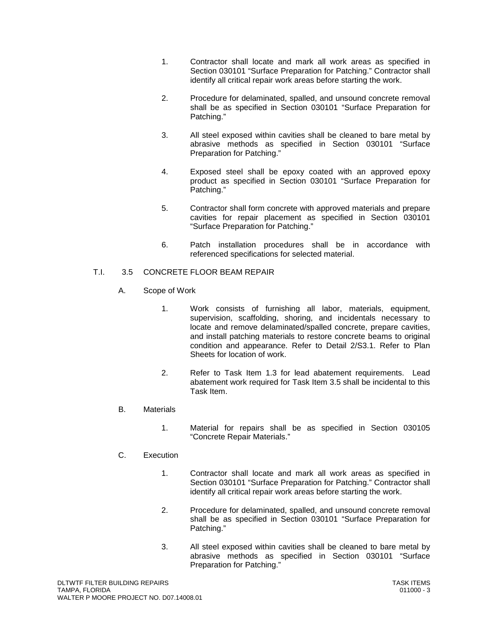- 1. Contractor shall locate and mark all work areas as specified in Section 030101 "Surface Preparation for Patching." Contractor shall identify all critical repair work areas before starting the work.
- 2. Procedure for delaminated, spalled, and unsound concrete removal shall be as specified in Section 030101 "Surface Preparation for Patching."
- 3. All steel exposed within cavities shall be cleaned to bare metal by abrasive methods as specified in Section 030101 "Surface Preparation for Patching."
- 4. Exposed steel shall be epoxy coated with an approved epoxy product as specified in Section 030101 "Surface Preparation for Patching."
- 5. Contractor shall form concrete with approved materials and prepare cavities for repair placement as specified in Section 030101 "Surface Preparation for Patching."
- 6. Patch installation procedures shall be in accordance with referenced specifications for selected material.

#### T.I. 3.5 CONCRETE FLOOR BEAM REPAIR

- A. Scope of Work
	- 1. Work consists of furnishing all labor, materials, equipment, supervision, scaffolding, shoring, and incidentals necessary to locate and remove delaminated/spalled concrete, prepare cavities, and install patching materials to restore concrete beams to original condition and appearance. Refer to Detail 2/S3.1. Refer to Plan Sheets for location of work.
	- 2. Refer to Task Item 1.3 for lead abatement requirements. Lead abatement work required for Task Item 3.5 shall be incidental to this Task Item.

#### B. Materials

1. Material for repairs shall be as specified in Section 030105 "Concrete Repair Materials."

#### C. Execution

- 1. Contractor shall locate and mark all work areas as specified in Section 030101 "Surface Preparation for Patching." Contractor shall identify all critical repair work areas before starting the work.
- 2. Procedure for delaminated, spalled, and unsound concrete removal shall be as specified in Section 030101 "Surface Preparation for Patching."
- 3. All steel exposed within cavities shall be cleaned to bare metal by abrasive methods as specified in Section 030101 "Surface Preparation for Patching."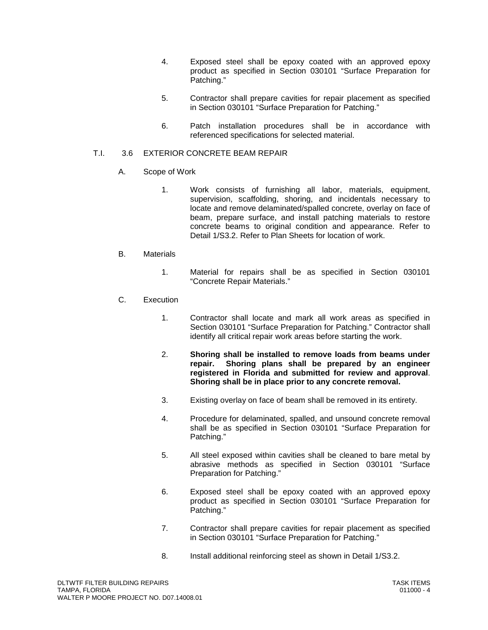- 4. Exposed steel shall be epoxy coated with an approved epoxy product as specified in Section 030101 "Surface Preparation for Patching."
- 5. Contractor shall prepare cavities for repair placement as specified in Section 030101 "Surface Preparation for Patching."
- 6. Patch installation procedures shall be in accordance with referenced specifications for selected material.

#### T.I. 3.6 EXTERIOR CONCRETE BEAM REPAIR

- A. Scope of Work
	- 1. Work consists of furnishing all labor, materials, equipment, supervision, scaffolding, shoring, and incidentals necessary to locate and remove delaminated/spalled concrete, overlay on face of beam, prepare surface, and install patching materials to restore concrete beams to original condition and appearance. Refer to Detail 1/S3.2. Refer to Plan Sheets for location of work.

#### B. Materials

1. Material for repairs shall be as specified in Section 030101 "Concrete Repair Materials."

#### C. Execution

- 1. Contractor shall locate and mark all work areas as specified in Section 030101 "Surface Preparation for Patching." Contractor shall identify all critical repair work areas before starting the work.
- 2. **Shoring shall be installed to remove loads from beams under repair. Shoring plans shall be prepared by an engineer registered in Florida and submitted for review and approval**. **Shoring shall be in place prior to any concrete removal.**
- 3. Existing overlay on face of beam shall be removed in its entirety.
- 4. Procedure for delaminated, spalled, and unsound concrete removal shall be as specified in Section 030101 "Surface Preparation for Patching."
- 5. All steel exposed within cavities shall be cleaned to bare metal by abrasive methods as specified in Section 030101 "Surface Preparation for Patching."
- 6. Exposed steel shall be epoxy coated with an approved epoxy product as specified in Section 030101 "Surface Preparation for Patching."
- 7. Contractor shall prepare cavities for repair placement as specified in Section 030101 "Surface Preparation for Patching."
- 8. Install additional reinforcing steel as shown in Detail 1/S3.2.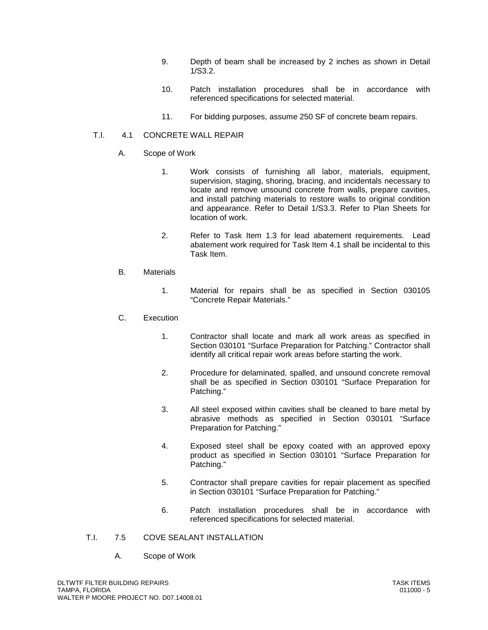- 9. Depth of beam shall be increased by 2 inches as shown in Detail 1/S3.2.
- 10. Patch installation procedures shall be in accordance with referenced specifications for selected material.
- 11. For bidding purposes, assume 250 SF of concrete beam repairs.

#### T.I. 4.1 CONCRETE WALL REPAIR

- A. Scope of Work
	- 1. Work consists of furnishing all labor, materials, equipment, supervision, staging, shoring, bracing, and incidentals necessary to locate and remove unsound concrete from walls, prepare cavities, and install patching materials to restore walls to original condition and appearance. Refer to Detail 1/S3.3. Refer to Plan Sheets for location of work.
	- 2. Refer to Task Item 1.3 for lead abatement requirements. Lead abatement work required for Task Item 4.1 shall be incidental to this Task Item.
- B. Materials
	- 1. Material for repairs shall be as specified in Section 030105 "Concrete Repair Materials."

#### C. Execution

- 1. Contractor shall locate and mark all work areas as specified in Section 030101 "Surface Preparation for Patching." Contractor shall identify all critical repair work areas before starting the work.
- 2. Procedure for delaminated, spalled, and unsound concrete removal shall be as specified in Section 030101 "Surface Preparation for Patching."
- 3. All steel exposed within cavities shall be cleaned to bare metal by abrasive methods as specified in Section 030101 "Surface Preparation for Patching."
- 4. Exposed steel shall be epoxy coated with an approved epoxy product as specified in Section 030101 "Surface Preparation for Patching."
- 5. Contractor shall prepare cavities for repair placement as specified in Section 030101 "Surface Preparation for Patching."
- 6. Patch installation procedures shall be in accordance with referenced specifications for selected material.

#### T.I. 7.5 COVE SEALANT INSTALLATION

A. Scope of Work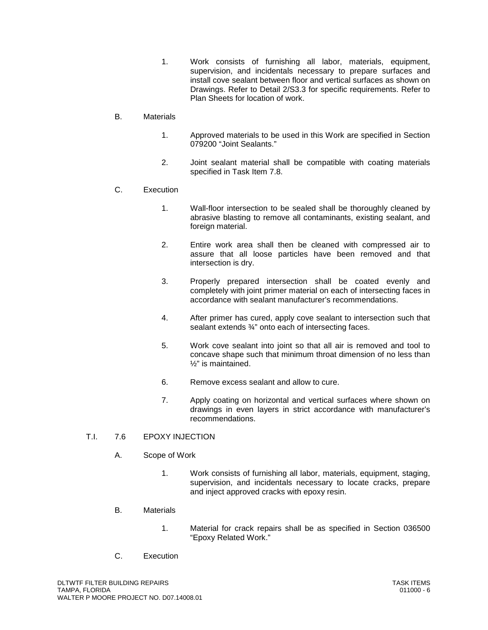1. Work consists of furnishing all labor, materials, equipment, supervision, and incidentals necessary to prepare surfaces and install cove sealant between floor and vertical surfaces as shown on Drawings. Refer to Detail 2/S3.3 for specific requirements. Refer to Plan Sheets for location of work.

#### B. Materials

- 1. Approved materials to be used in this Work are specified in Section 079200 "Joint Sealants."
- 2. Joint sealant material shall be compatible with coating materials specified in Task Item 7.8.

#### C. Execution

- 1. Wall-floor intersection to be sealed shall be thoroughly cleaned by abrasive blasting to remove all contaminants, existing sealant, and foreign material.
- 2. Entire work area shall then be cleaned with compressed air to assure that all loose particles have been removed and that intersection is dry.
- 3. Properly prepared intersection shall be coated evenly and completely with joint primer material on each of intersecting faces in accordance with sealant manufacturer's recommendations.
- 4. After primer has cured, apply cove sealant to intersection such that sealant extends ¾" onto each of intersecting faces.
- 5. Work cove sealant into joint so that all air is removed and tool to concave shape such that minimum throat dimension of no less than ½" is maintained.
- 6. Remove excess sealant and allow to cure.
- 7. Apply coating on horizontal and vertical surfaces where shown on drawings in even layers in strict accordance with manufacturer's recommendations.

#### T.I. 7.6 EPOXY INJECTION

- A. Scope of Work
	- 1. Work consists of furnishing all labor, materials, equipment, staging, supervision, and incidentals necessary to locate cracks, prepare and inject approved cracks with epoxy resin.

#### B. Materials

- 1. Material for crack repairs shall be as specified in Section 036500 "Epoxy Related Work."
- C. Execution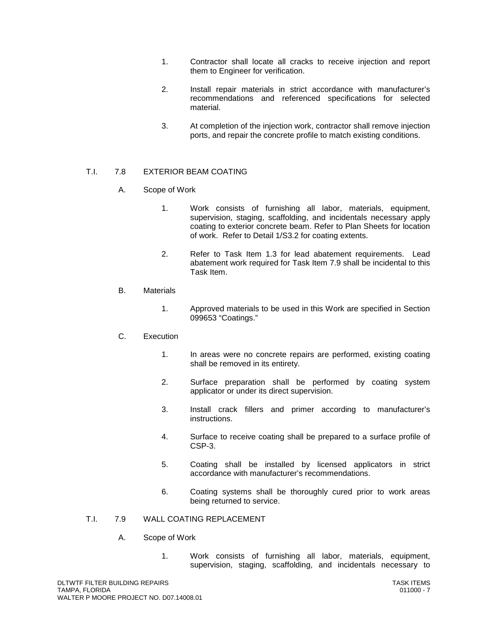- 1. Contractor shall locate all cracks to receive injection and report them to Engineer for verification.
- 2. Install repair materials in strict accordance with manufacturer's recommendations and referenced specifications for selected material.
- 3. At completion of the injection work, contractor shall remove injection ports, and repair the concrete profile to match existing conditions.

#### T.I. 7.8 EXTERIOR BEAM COATING

- A. Scope of Work
	- 1. Work consists of furnishing all labor, materials, equipment, supervision, staging, scaffolding, and incidentals necessary apply coating to exterior concrete beam. Refer to Plan Sheets for location of work. Refer to Detail 1/S3.2 for coating extents.
	- 2. Refer to Task Item 1.3 for lead abatement requirements. Lead abatement work required for Task Item 7.9 shall be incidental to this Task Item.

#### B. Materials

1. Approved materials to be used in this Work are specified in Section 099653 "Coatings."

#### C. Execution

- 1. In areas were no concrete repairs are performed, existing coating shall be removed in its entirety.
- 2. Surface preparation shall be performed by coating system applicator or under its direct supervision.
- 3. Install crack fillers and primer according to manufacturer's instructions.
- 4. Surface to receive coating shall be prepared to a surface profile of CSP-3.
- 5. Coating shall be installed by licensed applicators in strict accordance with manufacturer's recommendations.
- 6. Coating systems shall be thoroughly cured prior to work areas being returned to service.

#### T.I. 7.9 WALL COATING REPLACEMENT

#### A. Scope of Work

1. Work consists of furnishing all labor, materials, equipment, supervision, staging, scaffolding, and incidentals necessary to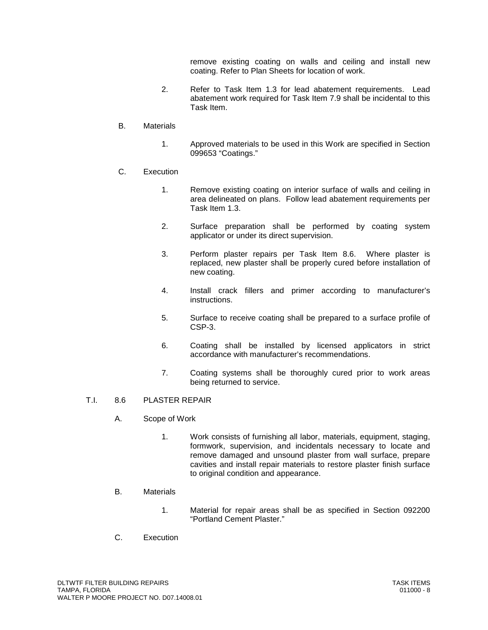remove existing coating on walls and ceiling and install new coating. Refer to Plan Sheets for location of work.

2. Refer to Task Item 1.3 for lead abatement requirements. Lead abatement work required for Task Item 7.9 shall be incidental to this Task Item.

#### B. Materials

1. Approved materials to be used in this Work are specified in Section 099653 "Coatings."

#### C. Execution

- 1. Remove existing coating on interior surface of walls and ceiling in area delineated on plans. Follow lead abatement requirements per Task Item 1.3.
- 2. Surface preparation shall be performed by coating system applicator or under its direct supervision.
- 3. Perform plaster repairs per Task Item 8.6. Where plaster is replaced, new plaster shall be properly cured before installation of new coating.
- 4. Install crack fillers and primer according to manufacturer's instructions.
- 5. Surface to receive coating shall be prepared to a surface profile of CSP-3.
- 6. Coating shall be installed by licensed applicators in strict accordance with manufacturer's recommendations.
- 7. Coating systems shall be thoroughly cured prior to work areas being returned to service.

#### T.I. 8.6 PLASTER REPAIR

#### A. Scope of Work

1. Work consists of furnishing all labor, materials, equipment, staging, formwork, supervision, and incidentals necessary to locate and remove damaged and unsound plaster from wall surface, prepare cavities and install repair materials to restore plaster finish surface to original condition and appearance.

#### B. Materials

- 1. Material for repair areas shall be as specified in Section 092200 "Portland Cement Plaster."
- C. Execution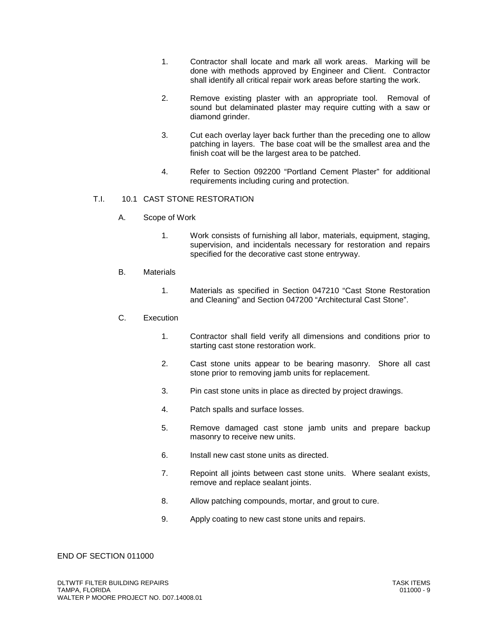- 1. Contractor shall locate and mark all work areas. Marking will be done with methods approved by Engineer and Client. Contractor shall identify all critical repair work areas before starting the work.
- 2. Remove existing plaster with an appropriate tool. Removal of sound but delaminated plaster may require cutting with a saw or diamond grinder.
- 3. Cut each overlay layer back further than the preceding one to allow patching in layers. The base coat will be the smallest area and the finish coat will be the largest area to be patched.
- 4. Refer to Section 092200 "Portland Cement Plaster" for additional requirements including curing and protection.

#### T.I. 10.1 CAST STONE RESTORATION

- A. Scope of Work
	- 1. Work consists of furnishing all labor, materials, equipment, staging, supervision, and incidentals necessary for restoration and repairs specified for the decorative cast stone entryway.

#### B. Materials

1. Materials as specified in Section 047210 "Cast Stone Restoration and Cleaning" and Section 047200 "Architectural Cast Stone".

#### C. Execution

- 1. Contractor shall field verify all dimensions and conditions prior to starting cast stone restoration work.
- 2. Cast stone units appear to be bearing masonry. Shore all cast stone prior to removing jamb units for replacement.
- 3. Pin cast stone units in place as directed by project drawings.
- 4. Patch spalls and surface losses.
- 5. Remove damaged cast stone jamb units and prepare backup masonry to receive new units.
- 6. Install new cast stone units as directed.
- 7. Repoint all joints between cast stone units. Where sealant exists, remove and replace sealant joints.
- 8. Allow patching compounds, mortar, and grout to cure.
- 9. Apply coating to new cast stone units and repairs.

#### END OF SECTION 011000